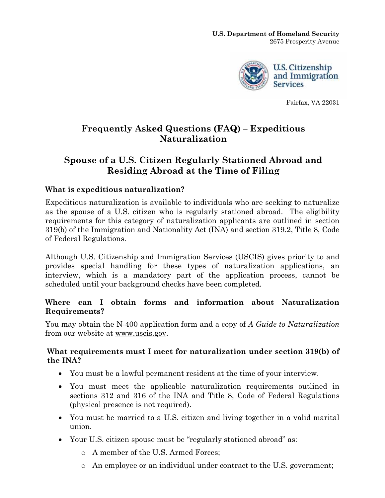

Fairfax, VA 22031

# **Frequently Asked Questions (FAQ) – Expeditious Naturalization**

# **Spouse of a U.S. Citizen Regularly Stationed Abroad and Residing Abroad at the Time of Filing**

### **What is expeditious naturalization?**

Expeditious naturalization is available to individuals who are seeking to naturalize as the spouse of a U.S. citizen who is regularly stationed abroad. The eligibility requirements for this category of naturalization applicants are outlined in section 319(b) of the Immigration and Nationality Act (INA) and section 319.2, Title 8, Code of Federal Regulations.

Although U.S. Citizenship and Immigration Services (USCIS) gives priority to and provides special handling for these types of naturalization applications, an interview, which is a mandatory part of the application process, cannot be scheduled until your background checks have been completed.

#### **Where can I obtain forms and information about Naturalization Requirements?**

You may obtain the N-400 application form and a copy of *A Guide to Naturalization* from our website at [www.uscis.gov](http://www.uscis.gov/).

#### **What requirements must I meet for naturalization under section 319(b) of the INA?**

- You must be a lawful permanent resident at the time of your interview.
- You must meet the applicable naturalization requirements outlined in sections 312 and 316 of the INA and Title 8, Code of Federal Regulations (physical presence is not required).
- You must be married to a U.S. citizen and living together in a valid marital union.
- Your U.S. citizen spouse must be "regularly stationed abroad" as:
	- o A member of the U.S. Armed Forces;
	- o An employee or an individual under contract to the U.S. government;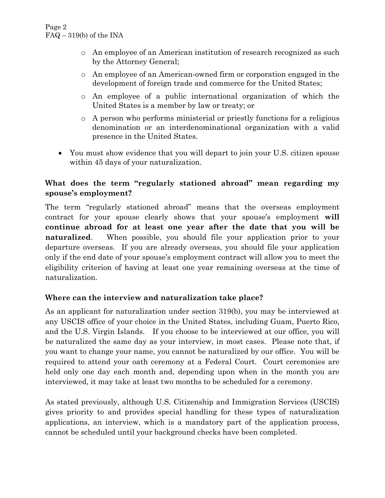- o An employee of an American institution of research recognized as such by the Attorney General;
- o An employee of an American-owned firm or corporation engaged in the development of foreign trade and commerce for the United States;
- o An employee of a public international organization of which the United States is a member by law or treaty; or
- o A person who performs ministerial or priestly functions for a religious denomination or an interdenominational organization with a valid presence in the United States.
- You must show evidence that you will depart to join your U.S. citizen spouse within 45 days of your naturalization.

# **What does the term "regularly stationed abroad" mean regarding my spouse's employment?**

The term "regularly stationed abroad" means that the overseas employment contract for your spouse clearly shows that your spouse's employment **will continue abroad for at least one year after the date that you will be naturalized.** When possible, you should file your application prior to your departure overseas. If you are already overseas, you should file your application only if the end date of your spouse's employment contract will allow you to meet the eligibility criterion of having at least one year remaining overseas at the time of naturalization.

# **Where can the interview and naturalization take place?**

As an applicant for naturalization under section 319(b), you may be interviewed at any USCIS office of your choice in the United States, including Guam, Puerto Rico, and the U.S. Virgin Islands. If you choose to be interviewed at our office, you will be naturalized the same day as your interview, in most cases. Please note that, if you want to change your name, you cannot be naturalized by our office. You will be required to attend your oath ceremony at a Federal Court. Court ceremonies are held only one day each month and, depending upon when in the month you are interviewed, it may take at least two months to be scheduled for a ceremony.

As stated previously, although U.S. Citizenship and Immigration Services (USCIS) gives priority to and provides special handling for these types of naturalization applications, an interview, which is a mandatory part of the application process, cannot be scheduled until your background checks have been completed.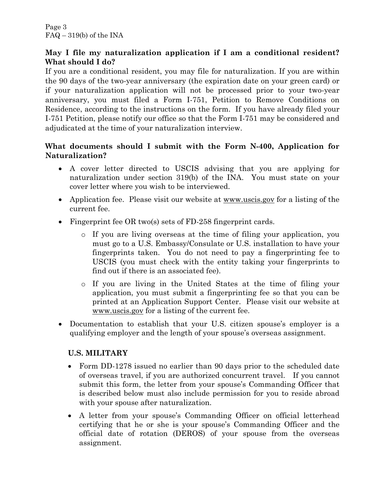### **May I file my naturalization application if I am a conditional resident? What should I do?**

If you are a conditional resident, you may file for naturalization. If you are within the 90 days of the two-year anniversary (the expiration date on your green card) or if your naturalization application will not be processed prior to your two-year anniversary, you must filed a Form I-751, Petition to Remove Conditions on Residence, according to the instructions on the form. If you have already filed your I-751 Petition, please notify our office so that the Form I-751 may be considered and adjudicated at the time of your naturalization interview.

### **What documents should I submit with the Form N-400, Application for Naturalization?**

- A cover letter directed to USCIS advising that you are applying for naturalization under section 319(b) of the INA. You must state on your cover letter where you wish to be interviewed.
- Application fee. Please visit our website at <u>www.uscis.gov</u> for a listing of the current fee.
- Fingerprint fee OR two(s) sets of FD-258 fingerprint cards.
	- o If you are living overseas at the time of filing your application, you must go to a U.S. Embassy/Consulate or U.S. installation to have your fingerprints taken. You do not need to pay a fingerprinting fee to USCIS (you must check with the entity taking your fingerprints to find out if there is an associated fee).
	- o If you are living in the United States at the time of filing your application, you must submit a fingerprinting fee so that you can be printed at an Application Support Center. Please visit our website at [www.uscis.gov](http://www.uscis.gov/) for a listing of the current fee.
- Documentation to establish that your U.S. citizen spouse's employer is a qualifying employer and the length of your spouse's overseas assignment.

# **U.S. MILITARY**

- Form DD-1278 issued no earlier than 90 days prior to the scheduled date of overseas travel, if you are authorized concurrent travel. If you cannot submit this form, the letter from your spouse's Commanding Officer that is described below must also include permission for you to reside abroad with your spouse after naturalization.
- A letter from your spouse's Commanding Officer on official letterhead certifying that he or she is your spouse's Commanding Officer and the official date of rotation (DEROS) of your spouse from the overseas assignment.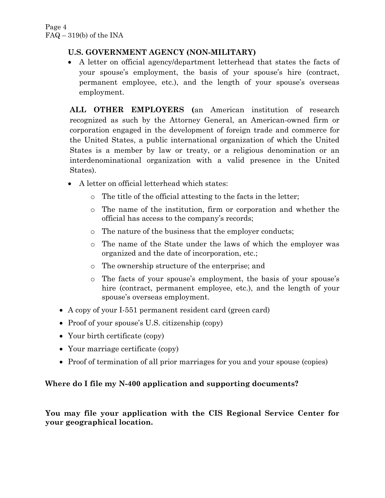# **U.S. GOVERNMENT AGENCY (NON-MILITARY)**

• A letter on official agency/department letterhead that states the facts of your spouse's employment, the basis of your spouse's hire (contract, permanent employee, etc.), and the length of your spouse's overseas employment.

**ALL OTHER EMPLOYERS (**an American institution of research recognized as such by the Attorney General, an American-owned firm or corporation engaged in the development of foreign trade and commerce for the United States, a public international organization of which the United States is a member by law or treaty, or a religious denomination or an interdenominational organization with a valid presence in the United States).

- A letter on official letterhead which states:
	- o The title of the official attesting to the facts in the letter;
	- o The name of the institution, firm or corporation and whether the official has access to the company's records;
	- o The nature of the business that the employer conducts;
	- o The name of the State under the laws of which the employer was organized and the date of incorporation, etc.;
	- o The ownership structure of the enterprise; and
	- o The facts of your spouse's employment, the basis of your spouse's hire (contract, permanent employee, etc.), and the length of your spouse's overseas employment.
- A copy of your I-551 permanent resident card (green card)
- Proof of your spouse's U.S. citizenship (copy)
- Your birth certificate (copy)
- Your marriage certificate (copy)
- Proof of termination of all prior marriages for you and your spouse (copies)

# **Where do I file my N-400 application and supporting documents?**

**You may file your application with the CIS Regional Service Center for your geographical location.**